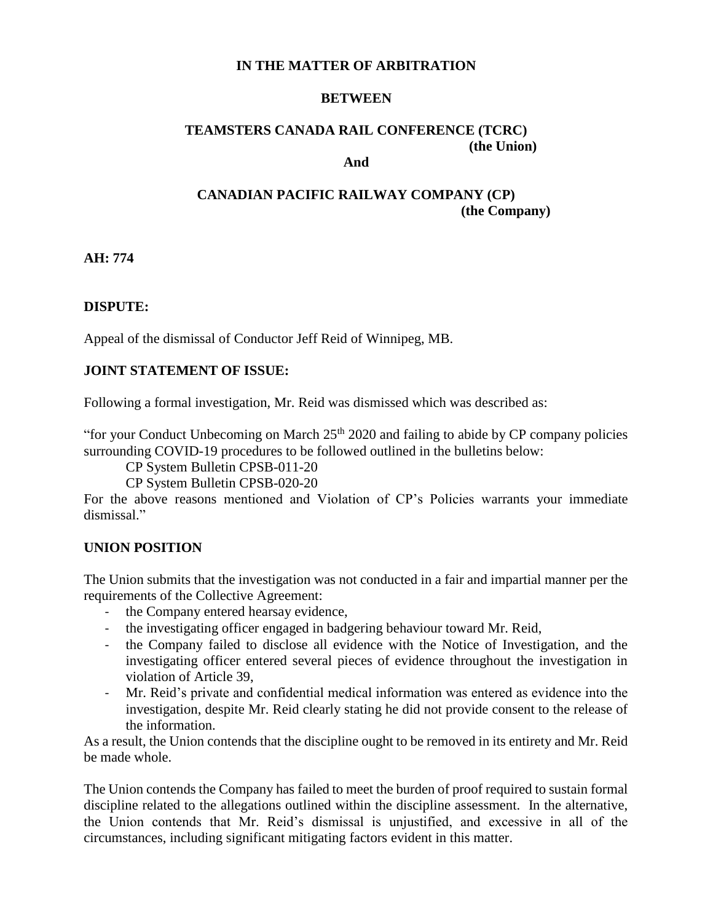## **IN THE MATTER OF ARBITRATION**

#### **BETWEEN**

#### **TEAMSTERS CANADA RAIL CONFERENCE (TCRC) (the Union) And**

## **CANADIAN PACIFIC RAILWAY COMPANY (CP) (the Company)**

**AH: 774**

## **DISPUTE:**

Appeal of the dismissal of Conductor Jeff Reid of Winnipeg, MB.

#### **JOINT STATEMENT OF ISSUE:**

Following a formal investigation, Mr. Reid was dismissed which was described as:

"for your Conduct Unbecoming on March  $25<sup>th</sup> 2020$  and failing to abide by CP company policies surrounding COVID-19 procedures to be followed outlined in the bulletins below:

CP System Bulletin CPSB-011-20

CP System Bulletin CPSB-020-20

For the above reasons mentioned and Violation of CP's Policies warrants your immediate dismissal."

### **UNION POSITION**

The Union submits that the investigation was not conducted in a fair and impartial manner per the requirements of the Collective Agreement:

- the Company entered hearsay evidence,
- the investigating officer engaged in badgering behaviour toward Mr. Reid,
- the Company failed to disclose all evidence with the Notice of Investigation, and the investigating officer entered several pieces of evidence throughout the investigation in violation of Article 39,
- Mr. Reid's private and confidential medical information was entered as evidence into the investigation, despite Mr. Reid clearly stating he did not provide consent to the release of the information.

As a result, the Union contends that the discipline ought to be removed in its entirety and Mr. Reid be made whole.

The Union contends the Company has failed to meet the burden of proof required to sustain formal discipline related to the allegations outlined within the discipline assessment. In the alternative, the Union contends that Mr. Reid's dismissal is unjustified, and excessive in all of the circumstances, including significant mitigating factors evident in this matter.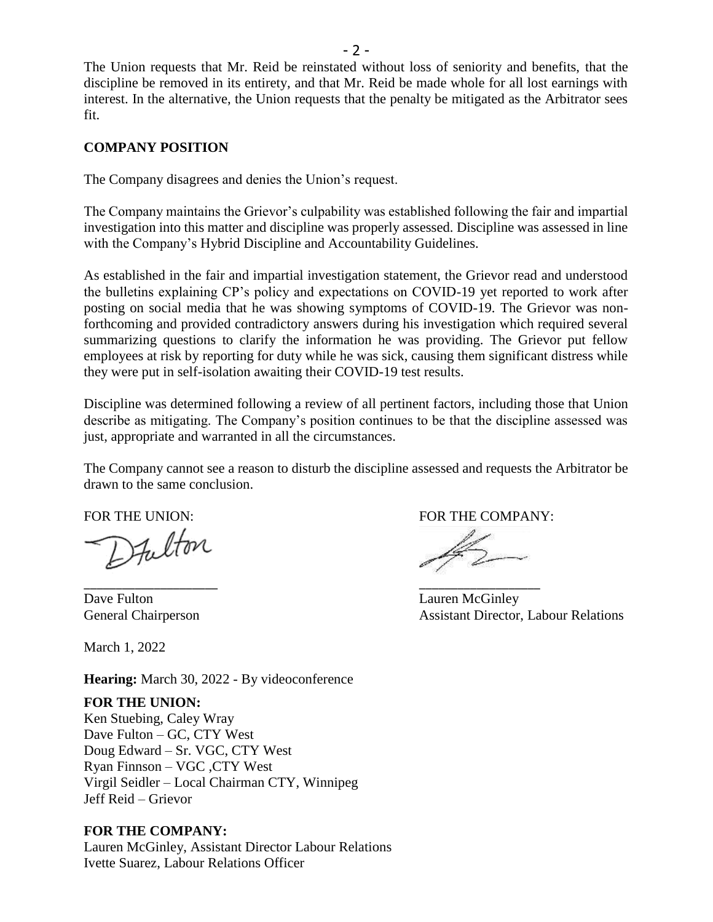The Union requests that Mr. Reid be reinstated without loss of seniority and benefits, that the discipline be removed in its entirety, and that Mr. Reid be made whole for all lost earnings with interest. In the alternative, the Union requests that the penalty be mitigated as the Arbitrator sees fit.

## **COMPANY POSITION**

The Company disagrees and denies the Union's request.

The Company maintains the Grievor's culpability was established following the fair and impartial investigation into this matter and discipline was properly assessed. Discipline was assessed in line with the Company's Hybrid Discipline and Accountability Guidelines.

As established in the fair and impartial investigation statement, the Grievor read and understood the bulletins explaining CP's policy and expectations on COVID-19 yet reported to work after posting on social media that he was showing symptoms of COVID-19. The Grievor was nonforthcoming and provided contradictory answers during his investigation which required several summarizing questions to clarify the information he was providing. The Grievor put fellow employees at risk by reporting for duty while he was sick, causing them significant distress while they were put in self-isolation awaiting their COVID-19 test results.

Discipline was determined following a review of all pertinent factors, including those that Union describe as mitigating. The Company's position continues to be that the discipline assessed was just, appropriate and warranted in all the circumstances.

The Company cannot see a reason to disturb the discipline assessed and requests the Arbitrator be drawn to the same conclusion.

\_\_\_\_\_\_\_\_\_\_\_\_\_\_\_\_\_\_\_\_\_ \_\_\_\_\_\_\_\_\_\_\_\_\_\_\_\_\_\_\_

FOR THE UNION: FOR THE COMPANY:

Dave Fulton Lauren McGinley

March 1, 2022

**Hearing:** March 30, 2022 - By videoconference

### **FOR THE UNION:**

Ken Stuebing, Caley Wray Dave Fulton – GC, CTY West Doug Edward – Sr. VGC, CTY West Ryan Finnson – VGC ,CTY West Virgil Seidler – Local Chairman CTY, Winnipeg Jeff Reid – Grievor

### **FOR THE COMPANY:**

Lauren McGinley, Assistant Director Labour Relations Ivette Suarez, Labour Relations Officer

General Chairperson **Assistant Director, Labour Relations**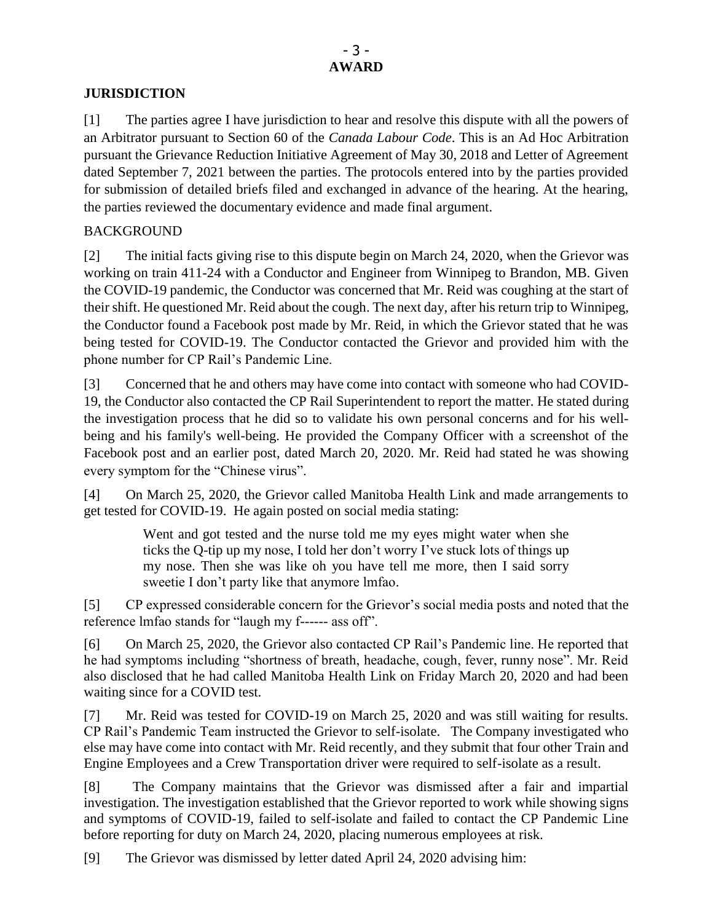## **JURISDICTION**

[1] The parties agree I have jurisdiction to hear and resolve this dispute with all the powers of an Arbitrator pursuant to Section 60 of the *Canada Labour Code*. This is an Ad Hoc Arbitration pursuant the Grievance Reduction Initiative Agreement of May 30, 2018 and Letter of Agreement dated September 7, 2021 between the parties. The protocols entered into by the parties provided for submission of detailed briefs filed and exchanged in advance of the hearing. At the hearing, the parties reviewed the documentary evidence and made final argument.

# BACKGROUND

[2] The initial facts giving rise to this dispute begin on March 24, 2020, when the Grievor was working on train 411-24 with a Conductor and Engineer from Winnipeg to Brandon, MB. Given the COVID-19 pandemic, the Conductor was concerned that Mr. Reid was coughing at the start of their shift. He questioned Mr. Reid about the cough. The next day, after his return trip to Winnipeg, the Conductor found a Facebook post made by Mr. Reid, in which the Grievor stated that he was being tested for COVID-19. The Conductor contacted the Grievor and provided him with the phone number for CP Rail's Pandemic Line.

[3] Concerned that he and others may have come into contact with someone who had COVID-19, the Conductor also contacted the CP Rail Superintendent to report the matter. He stated during the investigation process that he did so to validate his own personal concerns and for his wellbeing and his family's well-being. He provided the Company Officer with a screenshot of the Facebook post and an earlier post, dated March 20, 2020. Mr. Reid had stated he was showing every symptom for the "Chinese virus".

[4] On March 25, 2020, the Grievor called Manitoba Health Link and made arrangements to get tested for COVID-19. He again posted on social media stating:

> Went and got tested and the nurse told me my eyes might water when she ticks the Q-tip up my nose, I told her don't worry I've stuck lots of things up my nose. Then she was like oh you have tell me more, then I said sorry sweetie I don't party like that anymore lmfao.

[5] CP expressed considerable concern for the Grievor's social media posts and noted that the reference lmfao stands for "laugh my f------ ass off".

[6] On March 25, 2020, the Grievor also contacted CP Rail's Pandemic line. He reported that he had symptoms including "shortness of breath, headache, cough, fever, runny nose". Mr. Reid also disclosed that he had called Manitoba Health Link on Friday March 20, 2020 and had been waiting since for a COVID test.

[7] Mr. Reid was tested for COVID-19 on March 25, 2020 and was still waiting for results. CP Rail's Pandemic Team instructed the Grievor to self-isolate. The Company investigated who else may have come into contact with Mr. Reid recently, and they submit that four other Train and Engine Employees and a Crew Transportation driver were required to self-isolate as a result.

[8] The Company maintains that the Grievor was dismissed after a fair and impartial investigation. The investigation established that the Grievor reported to work while showing signs and symptoms of COVID-19, failed to self-isolate and failed to contact the CP Pandemic Line before reporting for duty on March 24, 2020, placing numerous employees at risk.

[9] The Grievor was dismissed by letter dated April 24, 2020 advising him: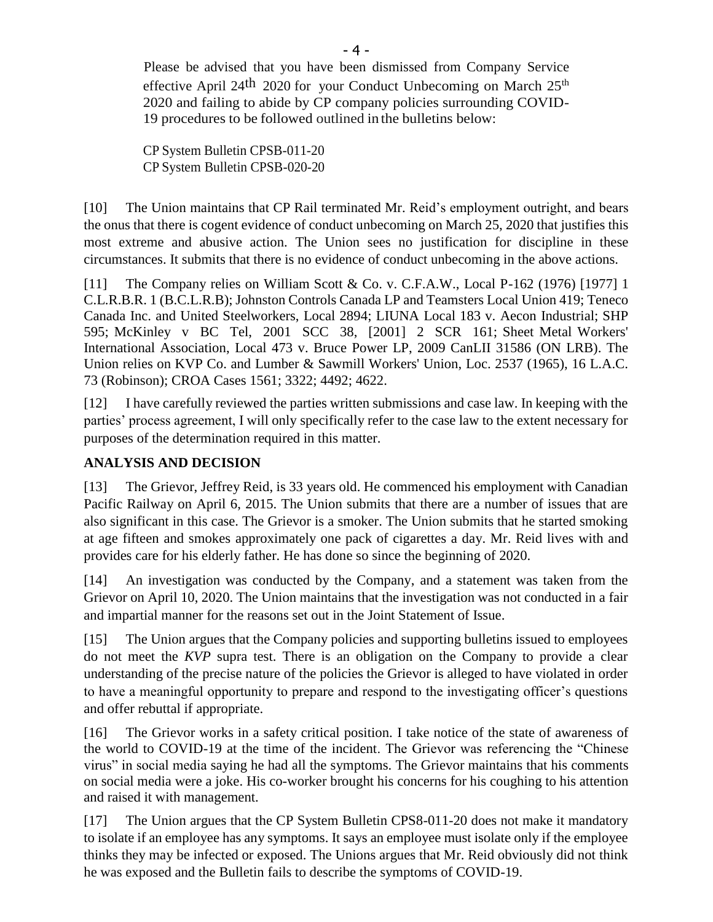Please be advised that you have been dismissed from Company Service effective April 24<sup>th</sup> 2020 for your Conduct Unbecoming on March  $25<sup>th</sup>$ 2020 and failing to abide by CP company policies surrounding COVID-19 procedures to be followed outlined in the bulletins below:

CP System Bulletin CPSB-011-20 CP System Bulletin CPSB-020-20

[10] The Union maintains that CP Rail terminated Mr. Reid's employment outright, and bears the onus that there is cogent evidence of conduct unbecoming on March 25, 2020 that justifies this most extreme and abusive action. The Union sees no justification for discipline in these circumstances. It submits that there is no evidence of conduct unbecoming in the above actions.

[11] The Company relies on William Scott & Co. v. C.F.A.W., Local P-162 (1976) [1977] 1 C.L.R.B.R. 1 (B.C.L.R.B); Johnston Controls Canada LP and Teamsters Local Union 419; Teneco Canada Inc. and United Steelworkers, Local 2894; LIUNA Local 183 v. Aecon Industrial; SHP 595; McKinley v BC Tel, 2001 SCC 38, [2001] 2 SCR 161; Sheet Metal Workers' International Association, Local 473 v. Bruce Power LP, 2009 CanLII 31586 (ON LRB). The Union relies on KVP Co. and Lumber & Sawmill Workers' Union, Loc. 2537 (1965), 16 L.A.C. 73 (Robinson); CROA Cases 1561; 3322; 4492; 4622.

[12] I have carefully reviewed the parties written submissions and case law. In keeping with the parties' process agreement, I will only specifically refer to the case law to the extent necessary for purposes of the determination required in this matter.

# **ANALYSIS AND DECISION**

[13] The Grievor, Jeffrey Reid, is 33 years old. He commenced his employment with Canadian Pacific Railway on April 6, 2015. The Union submits that there are a number of issues that are also significant in this case. The Grievor is a smoker. The Union submits that he started smoking at age fifteen and smokes approximately one pack of cigarettes a day. Mr. Reid lives with and provides care for his elderly father. He has done so since the beginning of 2020.

[14] An investigation was conducted by the Company, and a statement was taken from the Grievor on April 10, 2020. The Union maintains that the investigation was not conducted in a fair and impartial manner for the reasons set out in the Joint Statement of Issue.

[15] The Union argues that the Company policies and supporting bulletins issued to employees do not meet the *KVP* supra test. There is an obligation on the Company to provide a clear understanding of the precise nature of the policies the Grievor is alleged to have violated in order to have a meaningful opportunity to prepare and respond to the investigating officer's questions and offer rebuttal if appropriate.

[16] The Grievor works in a safety critical position. I take notice of the state of awareness of the world to COVID-19 at the time of the incident. The Grievor was referencing the "Chinese virus" in social media saying he had all the symptoms. The Grievor maintains that his comments on social media were a joke. His co-worker brought his concerns for his coughing to his attention and raised it with management.

[17] The Union argues that the CP System Bulletin CPS8-011-20 does not make it mandatory to isolate if an employee has any symptoms. It says an employee must isolate only if the employee thinks they may be infected or exposed. The Unions argues that Mr. Reid obviously did not think he was exposed and the Bulletin fails to describe the symptoms of COVID-19.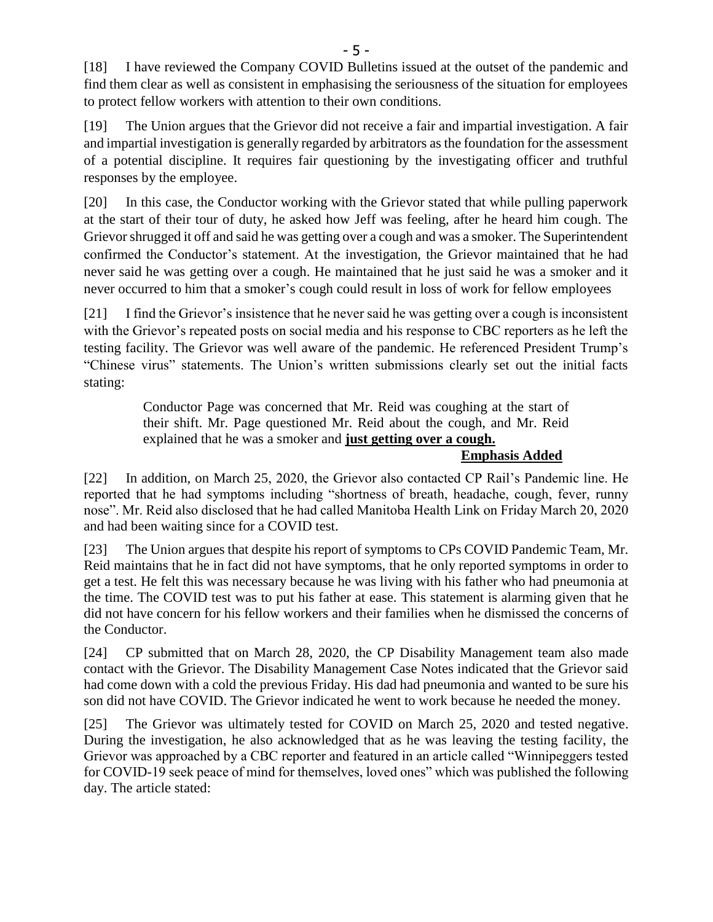[18] I have reviewed the Company COVID Bulletins issued at the outset of the pandemic and find them clear as well as consistent in emphasising the seriousness of the situation for employees to protect fellow workers with attention to their own conditions.

[19] The Union argues that the Grievor did not receive a fair and impartial investigation. A fair and impartial investigation is generally regarded by arbitrators as the foundation for the assessment of a potential discipline. It requires fair questioning by the investigating officer and truthful responses by the employee.

[20] In this case, the Conductor working with the Grievor stated that while pulling paperwork at the start of their tour of duty, he asked how Jeff was feeling, after he heard him cough. The Grievor shrugged it off and said he was getting over a cough and was a smoker. The Superintendent confirmed the Conductor's statement. At the investigation, the Grievor maintained that he had never said he was getting over a cough. He maintained that he just said he was a smoker and it never occurred to him that a smoker's cough could result in loss of work for fellow employees

[21] I find the Grievor's insistence that he never said he was getting over a cough is inconsistent with the Grievor's repeated posts on social media and his response to CBC reporters as he left the testing facility. The Grievor was well aware of the pandemic. He referenced President Trump's "Chinese virus" statements. The Union's written submissions clearly set out the initial facts stating:

> Conductor Page was concerned that Mr. Reid was coughing at the start of their shift. Mr. Page questioned Mr. Reid about the cough, and Mr. Reid explained that he was a smoker and **just getting over a cough.**

**Emphasis Added** 

[22] In addition, on March 25, 2020, the Grievor also contacted CP Rail's Pandemic line. He reported that he had symptoms including "shortness of breath, headache, cough, fever, runny nose". Mr. Reid also disclosed that he had called Manitoba Health Link on Friday March 20, 2020 and had been waiting since for a COVID test.

[23] The Union argues that despite his report of symptoms to CPs COVID Pandemic Team, Mr. Reid maintains that he in fact did not have symptoms, that he only reported symptoms in order to get a test. He felt this was necessary because he was living with his father who had pneumonia at the time. The COVID test was to put his father at ease. This statement is alarming given that he did not have concern for his fellow workers and their families when he dismissed the concerns of the Conductor.

[24] CP submitted that on March 28, 2020, the CP Disability Management team also made contact with the Grievor. The Disability Management Case Notes indicated that the Grievor said had come down with a cold the previous Friday. His dad had pneumonia and wanted to be sure his son did not have COVID. The Grievor indicated he went to work because he needed the money.

[25] The Grievor was ultimately tested for COVID on March 25, 2020 and tested negative. During the investigation, he also acknowledged that as he was leaving the testing facility, the Grievor was approached by a CBC reporter and featured in an article called "Winnipeggers tested for COVID-19 seek peace of mind for themselves, loved ones" which was published the following day. The article stated: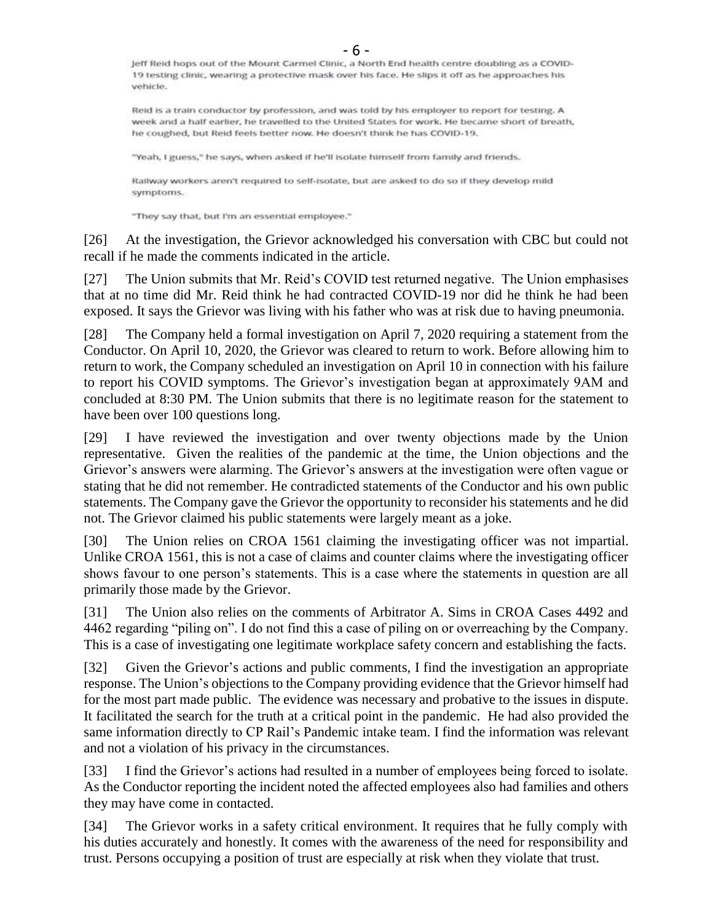- 6 - 19 testing clinic, wearing a protective mask over his face. He slips it off as he approaches his vehicle.

Reid is a train conductor by profession, and was told by his employer to report for testing. A week and a half earlier, he travelled to the United States for work. He became short of breath, he coughed, but Reid feels better now. He doesn't think he has COVID-19.

"Yeah, I guess," he says, when asked if he'll isolate himself from family and friends.

Railway workers aren't required to self-isolate, but are asked to do so if they develop mild symptoms.

"They say that, but I'm an essential employee."

[26] At the investigation, the Grievor acknowledged his conversation with CBC but could not recall if he made the comments indicated in the article.

[27] The Union submits that Mr. Reid's COVID test returned negative. The Union emphasises that at no time did Mr. Reid think he had contracted COVID-19 nor did he think he had been exposed. It says the Grievor was living with his father who was at risk due to having pneumonia.

[28] The Company held a formal investigation on April 7, 2020 requiring a statement from the Conductor. On April 10, 2020, the Grievor was cleared to return to work. Before allowing him to return to work, the Company scheduled an investigation on April 10 in connection with his failure to report his COVID symptoms. The Grievor's investigation began at approximately 9AM and concluded at 8:30 PM. The Union submits that there is no legitimate reason for the statement to have been over 100 questions long.

[29] I have reviewed the investigation and over twenty objections made by the Union representative. Given the realities of the pandemic at the time, the Union objections and the Grievor's answers were alarming. The Grievor's answers at the investigation were often vague or stating that he did not remember. He contradicted statements of the Conductor and his own public statements. The Company gave the Grievor the opportunity to reconsider his statements and he did not. The Grievor claimed his public statements were largely meant as a joke.

[30] The Union relies on CROA 1561 claiming the investigating officer was not impartial. Unlike CROA 1561, this is not a case of claims and counter claims where the investigating officer shows favour to one person's statements. This is a case where the statements in question are all primarily those made by the Grievor.

[31] The Union also relies on the comments of Arbitrator A. Sims in CROA Cases 4492 and 4462 regarding "piling on". I do not find this a case of piling on or overreaching by the Company. This is a case of investigating one legitimate workplace safety concern and establishing the facts.

[32] Given the Grievor's actions and public comments, I find the investigation an appropriate response. The Union's objections to the Company providing evidence that the Grievor himself had for the most part made public. The evidence was necessary and probative to the issues in dispute. It facilitated the search for the truth at a critical point in the pandemic. He had also provided the same information directly to CP Rail's Pandemic intake team. I find the information was relevant and not a violation of his privacy in the circumstances.

[33] I find the Grievor's actions had resulted in a number of employees being forced to isolate. As the Conductor reporting the incident noted the affected employees also had families and others they may have come in contacted.

[34] The Grievor works in a safety critical environment. It requires that he fully comply with his duties accurately and honestly. It comes with the awareness of the need for responsibility and trust. Persons occupying a position of trust are especially at risk when they violate that trust.